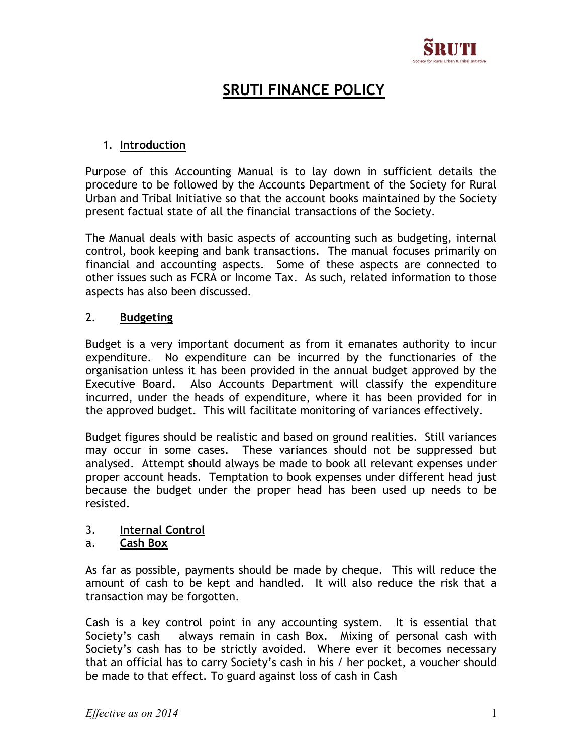

# SRUTI FINANCE POLICY

# 1. Introduction

Purpose of this Accounting Manual is to lay down in sufficient details the procedure to be followed by the Accounts Department of the Society for Rural Urban and Tribal Initiative so that the account books maintained by the Society present factual state of all the financial transactions of the Society.

The Manual deals with basic aspects of accounting such as budgeting, internal control, book keeping and bank transactions. The manual focuses primarily on financial and accounting aspects. Some of these aspects are connected to other issues such as FCRA or Income Tax. As such, related information to those aspects has also been discussed.

## 2. Budgeting

Budget is a very important document as from it emanates authority to incur expenditure. No expenditure can be incurred by the functionaries of the organisation unless it has been provided in the annual budget approved by the Executive Board. Also Accounts Department will classify the expenditure incurred, under the heads of expenditure, where it has been provided for in the approved budget. This will facilitate monitoring of variances effectively.

Budget figures should be realistic and based on ground realities. Still variances may occur in some cases. These variances should not be suppressed but analysed. Attempt should always be made to book all relevant expenses under proper account heads. Temptation to book expenses under different head just because the budget under the proper head has been used up needs to be resisted.

# 3. Internal Control

## a. Cash Box

As far as possible, payments should be made by cheque. This will reduce the amount of cash to be kept and handled. It will also reduce the risk that a transaction may be forgotten.

Cash is a key control point in any accounting system. It is essential that Society's cash always remain in cash Box. Mixing of personal cash with Society's cash has to be strictly avoided. Where ever it becomes necessary that an official has to carry Society's cash in his / her pocket, a voucher should be made to that effect. To guard against loss of cash in Cash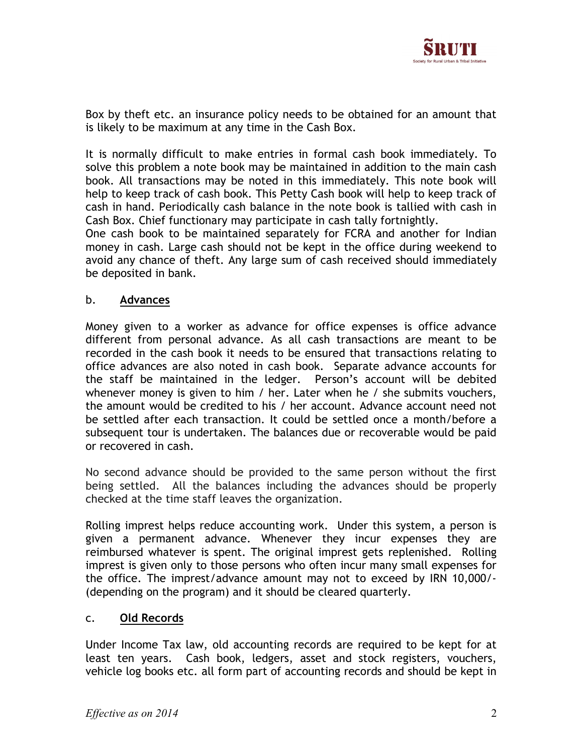

Box by theft etc. an insurance policy needs to be obtained for an amount that is likely to be maximum at any time in the Cash Box.

It is normally difficult to make entries in formal cash book immediately. To solve this problem a note book may be maintained in addition to the main cash book. All transactions may be noted in this immediately. This note book will help to keep track of cash book. This Petty Cash book will help to keep track of cash in hand. Periodically cash balance in the note book is tallied with cash in Cash Box. Chief functionary may participate in cash tally fortnightly.

One cash book to be maintained separately for FCRA and another for Indian money in cash. Large cash should not be kept in the office during weekend to avoid any chance of theft. Any large sum of cash received should immediately be deposited in bank.

## b. Advances

Money given to a worker as advance for office expenses is office advance different from personal advance. As all cash transactions are meant to be recorded in the cash book it needs to be ensured that transactions relating to office advances are also noted in cash book. Separate advance accounts for the staff be maintained in the ledger. Person's account will be debited whenever money is given to him / her. Later when he / she submits vouchers, the amount would be credited to his / her account. Advance account need not be settled after each transaction. It could be settled once a month/before a subsequent tour is undertaken. The balances due or recoverable would be paid or recovered in cash.

No second advance should be provided to the same person without the first being settled. All the balances including the advances should be properly checked at the time staff leaves the organization.

Rolling imprest helps reduce accounting work. Under this system, a person is given a permanent advance. Whenever they incur expenses they are reimbursed whatever is spent. The original imprest gets replenished. Rolling imprest is given only to those persons who often incur many small expenses for the office. The imprest/advance amount may not to exceed by IRN 10,000/- (depending on the program) and it should be cleared quarterly.

#### c. Old Records

Under Income Tax law, old accounting records are required to be kept for at least ten years. Cash book, ledgers, asset and stock registers, vouchers, vehicle log books etc. all form part of accounting records and should be kept in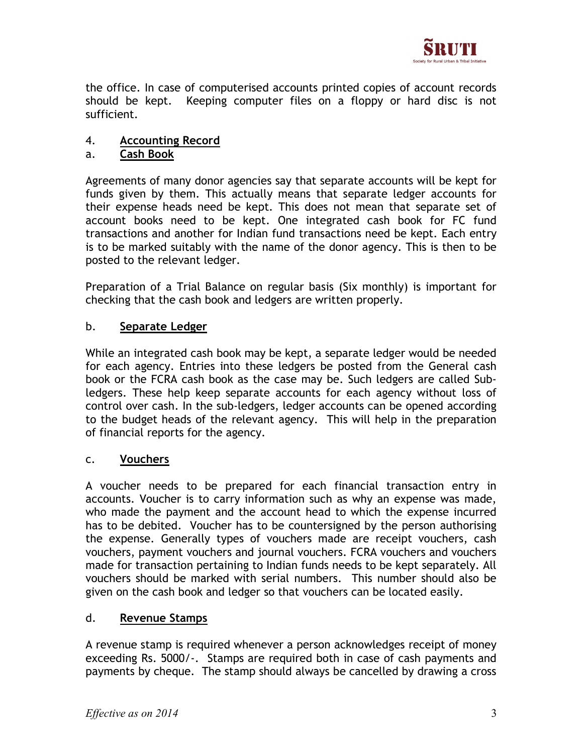

the office. In case of computerised accounts printed copies of account records should be kept. Keeping computer files on a floppy or hard disc is not sufficient.

# 4. Accounting Record

## a. Cash Book

Agreements of many donor agencies say that separate accounts will be kept for funds given by them. This actually means that separate ledger accounts for their expense heads need be kept. This does not mean that separate set of account books need to be kept. One integrated cash book for FC fund transactions and another for Indian fund transactions need be kept. Each entry is to be marked suitably with the name of the donor agency. This is then to be posted to the relevant ledger.

Preparation of a Trial Balance on regular basis (Six monthly) is important for checking that the cash book and ledgers are written properly.

## b. Separate Ledger

While an integrated cash book may be kept, a separate ledger would be needed for each agency. Entries into these ledgers be posted from the General cash book or the FCRA cash book as the case may be. Such ledgers are called Subledgers. These help keep separate accounts for each agency without loss of control over cash. In the sub-ledgers, ledger accounts can be opened according to the budget heads of the relevant agency. This will help in the preparation of financial reports for the agency.

## c. Vouchers

A voucher needs to be prepared for each financial transaction entry in accounts. Voucher is to carry information such as why an expense was made, who made the payment and the account head to which the expense incurred has to be debited. Voucher has to be countersigned by the person authorising the expense. Generally types of vouchers made are receipt vouchers, cash vouchers, payment vouchers and journal vouchers. FCRA vouchers and vouchers made for transaction pertaining to Indian funds needs to be kept separately. All vouchers should be marked with serial numbers. This number should also be given on the cash book and ledger so that vouchers can be located easily.

## d. Revenue Stamps

A revenue stamp is required whenever a person acknowledges receipt of money exceeding Rs. 5000/-. Stamps are required both in case of cash payments and payments by cheque. The stamp should always be cancelled by drawing a cross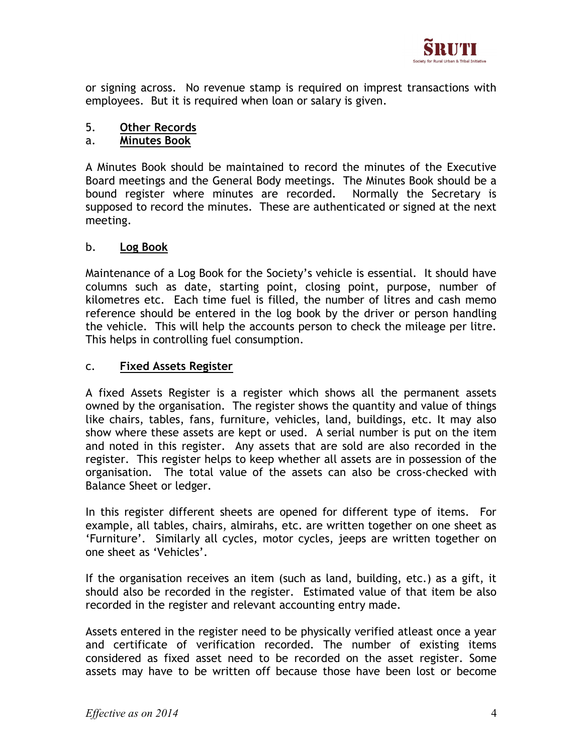

or signing across. No revenue stamp is required on imprest transactions with employees. But it is required when loan or salary is given.

## 5. Other Records

## a. **Minutes Book**

A Minutes Book should be maintained to record the minutes of the Executive Board meetings and the General Body meetings. The Minutes Book should be a bound register where minutes are recorded. Normally the Secretary is supposed to record the minutes. These are authenticated or signed at the next meeting.

## b. Log Book

Maintenance of a Log Book for the Society's vehicle is essential. It should have columns such as date, starting point, closing point, purpose, number of kilometres etc. Each time fuel is filled, the number of litres and cash memo reference should be entered in the log book by the driver or person handling the vehicle. This will help the accounts person to check the mileage per litre. This helps in controlling fuel consumption.

## c. Fixed Assets Register

A fixed Assets Register is a register which shows all the permanent assets owned by the organisation. The register shows the quantity and value of things like chairs, tables, fans, furniture, vehicles, land, buildings, etc. It may also show where these assets are kept or used. A serial number is put on the item and noted in this register. Any assets that are sold are also recorded in the register. This register helps to keep whether all assets are in possession of the organisation. The total value of the assets can also be cross-checked with Balance Sheet or ledger.

In this register different sheets are opened for different type of items. For example, all tables, chairs, almirahs, etc. are written together on one sheet as 'Furniture'. Similarly all cycles, motor cycles, jeeps are written together on one sheet as 'Vehicles'.

If the organisation receives an item (such as land, building, etc.) as a gift, it should also be recorded in the register. Estimated value of that item be also recorded in the register and relevant accounting entry made.

Assets entered in the register need to be physically verified atleast once a year and certificate of verification recorded. The number of existing items considered as fixed asset need to be recorded on the asset register. Some assets may have to be written off because those have been lost or become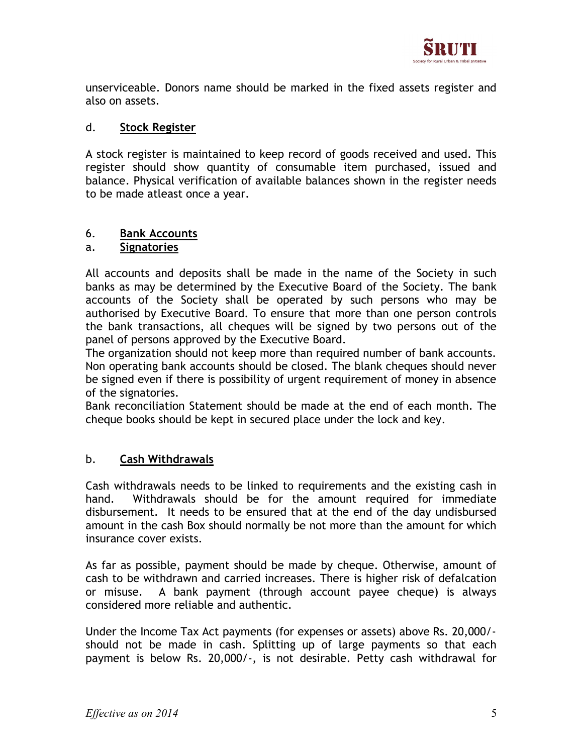

unserviceable. Donors name should be marked in the fixed assets register and also on assets.

## d. Stock Register

A stock register is maintained to keep record of goods received and used. This register should show quantity of consumable item purchased, issued and balance. Physical verification of available balances shown in the register needs to be made atleast once a year.

# 6. **Bank Accounts**

#### a. Signatories

All accounts and deposits shall be made in the name of the Society in such banks as may be determined by the Executive Board of the Society. The bank accounts of the Society shall be operated by such persons who may be authorised by Executive Board. To ensure that more than one person controls the bank transactions, all cheques will be signed by two persons out of the panel of persons approved by the Executive Board.

The organization should not keep more than required number of bank accounts. Non operating bank accounts should be closed. The blank cheques should never be signed even if there is possibility of urgent requirement of money in absence of the signatories.

Bank reconciliation Statement should be made at the end of each month. The cheque books should be kept in secured place under the lock and key.

## b. Cash Withdrawals

Cash withdrawals needs to be linked to requirements and the existing cash in hand. Withdrawals should be for the amount required for immediate disbursement. It needs to be ensured that at the end of the day undisbursed amount in the cash Box should normally be not more than the amount for which insurance cover exists.

As far as possible, payment should be made by cheque. Otherwise, amount of cash to be withdrawn and carried increases. There is higher risk of defalcation or misuse. A bank payment (through account payee cheque) is always considered more reliable and authentic.

Under the Income Tax Act payments (for expenses or assets) above Rs. 20,000/ should not be made in cash. Splitting up of large payments so that each payment is below Rs. 20,000/-, is not desirable. Petty cash withdrawal for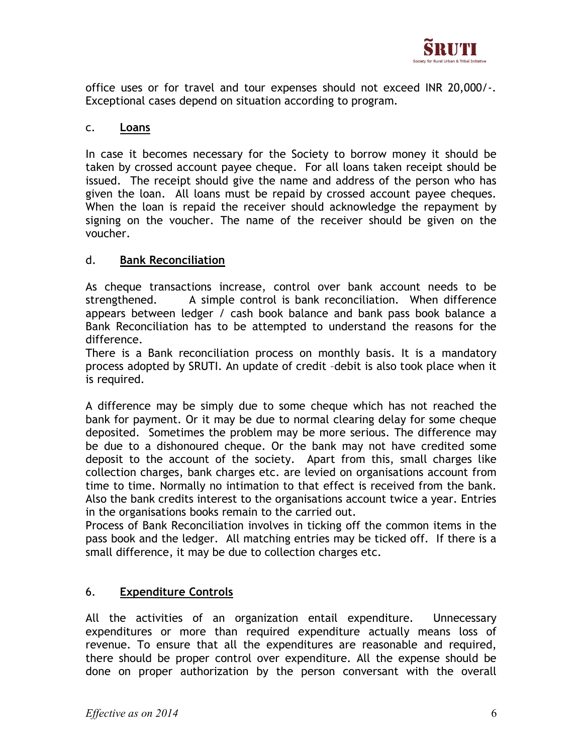

office uses or for travel and tour expenses should not exceed INR 20,000/-. Exceptional cases depend on situation according to program.

## c. Loans

In case it becomes necessary for the Society to borrow money it should be taken by crossed account payee cheque. For all loans taken receipt should be issued. The receipt should give the name and address of the person who has given the loan. All loans must be repaid by crossed account payee cheques. When the loan is repaid the receiver should acknowledge the repayment by signing on the voucher. The name of the receiver should be given on the voucher.

## d. Bank Reconciliation

As cheque transactions increase, control over bank account needs to be strengthened. A simple control is bank reconciliation. When difference appears between ledger / cash book balance and bank pass book balance a Bank Reconciliation has to be attempted to understand the reasons for the difference.

There is a Bank reconciliation process on monthly basis. It is a mandatory process adopted by SRUTI. An update of credit –debit is also took place when it is required.

A difference may be simply due to some cheque which has not reached the bank for payment. Or it may be due to normal clearing delay for some cheque deposited. Sometimes the problem may be more serious. The difference may be due to a dishonoured cheque. Or the bank may not have credited some deposit to the account of the society. Apart from this, small charges like collection charges, bank charges etc. are levied on organisations account from time to time. Normally no intimation to that effect is received from the bank. Also the bank credits interest to the organisations account twice a year. Entries in the organisations books remain to the carried out.

Process of Bank Reconciliation involves in ticking off the common items in the pass book and the ledger. All matching entries may be ticked off. If there is a small difference, it may be due to collection charges etc.

# 6. Expenditure Controls

All the activities of an organization entail expenditure. Unnecessary expenditures or more than required expenditure actually means loss of revenue. To ensure that all the expenditures are reasonable and required, there should be proper control over expenditure. All the expense should be done on proper authorization by the person conversant with the overall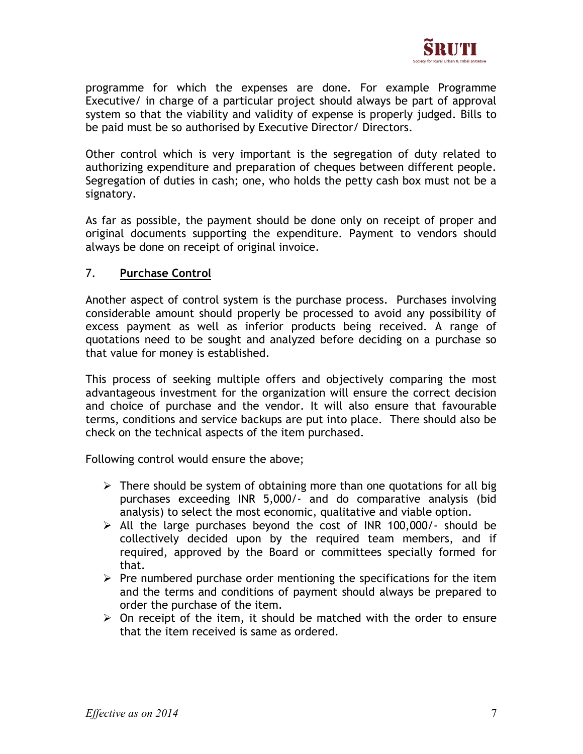

programme for which the expenses are done. For example Programme Executive/ in charge of a particular project should always be part of approval system so that the viability and validity of expense is properly judged. Bills to be paid must be so authorised by Executive Director/ Directors.

Other control which is very important is the segregation of duty related to authorizing expenditure and preparation of cheques between different people. Segregation of duties in cash; one, who holds the petty cash box must not be a signatory.

As far as possible, the payment should be done only on receipt of proper and original documents supporting the expenditure. Payment to vendors should always be done on receipt of original invoice.

## 7. Purchase Control

Another aspect of control system is the purchase process. Purchases involving considerable amount should properly be processed to avoid any possibility of excess payment as well as inferior products being received. A range of quotations need to be sought and analyzed before deciding on a purchase so that value for money is established.

This process of seeking multiple offers and objectively comparing the most advantageous investment for the organization will ensure the correct decision and choice of purchase and the vendor. It will also ensure that favourable terms, conditions and service backups are put into place. There should also be check on the technical aspects of the item purchased.

Following control would ensure the above;

- $\triangleright$  There should be system of obtaining more than one quotations for all big purchases exceeding INR 5,000/- and do comparative analysis (bid analysis) to select the most economic, qualitative and viable option.
- $\triangleright$  All the large purchases beyond the cost of INR 100,000/- should be collectively decided upon by the required team members, and if required, approved by the Board or committees specially formed for that.
- $\triangleright$  Pre numbered purchase order mentioning the specifications for the item and the terms and conditions of payment should always be prepared to order the purchase of the item.
- $\triangleright$  On receipt of the item, it should be matched with the order to ensure that the item received is same as ordered.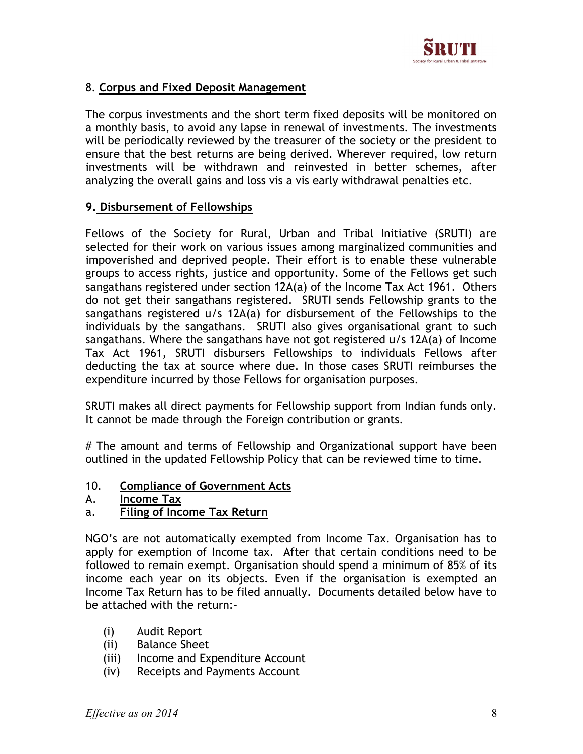

## 8. Corpus and Fixed Deposit Management

The corpus investments and the short term fixed deposits will be monitored on a monthly basis, to avoid any lapse in renewal of investments. The investments will be periodically reviewed by the treasurer of the society or the president to ensure that the best returns are being derived. Wherever required, low return investments will be withdrawn and reinvested in better schemes, after analyzing the overall gains and loss vis a vis early withdrawal penalties etc.

## 9. Disbursement of Fellowships

Fellows of the Society for Rural, Urban and Tribal Initiative (SRUTI) are selected for their work on various issues among marginalized communities and impoverished and deprived people. Their effort is to enable these vulnerable groups to access rights, justice and opportunity. Some of the Fellows get such sangathans registered under section 12A(a) of the Income Tax Act 1961. Others do not get their sangathans registered. SRUTI sends Fellowship grants to the sangathans registered u/s 12A(a) for disbursement of the Fellowships to the individuals by the sangathans. SRUTI also gives organisational grant to such sangathans. Where the sangathans have not got registered u/s 12A(a) of Income Tax Act 1961, SRUTI disbursers Fellowships to individuals Fellows after deducting the tax at source where due. In those cases SRUTI reimburses the expenditure incurred by those Fellows for organisation purposes.

SRUTI makes all direct payments for Fellowship support from Indian funds only. It cannot be made through the Foreign contribution or grants.

# The amount and terms of Fellowship and Organizational support have been outlined in the updated Fellowship Policy that can be reviewed time to time.

- 10. Compliance of Government Acts
- A. Income Tax

## a. Filing of Income Tax Return

NGO's are not automatically exempted from Income Tax. Organisation has to apply for exemption of Income tax. After that certain conditions need to be followed to remain exempt. Organisation should spend a minimum of 85% of its income each year on its objects. Even if the organisation is exempted an Income Tax Return has to be filed annually. Documents detailed below have to be attached with the return:-

- (i) Audit Report
- (ii) Balance Sheet
- (iii) Income and Expenditure Account
- (iv) Receipts and Payments Account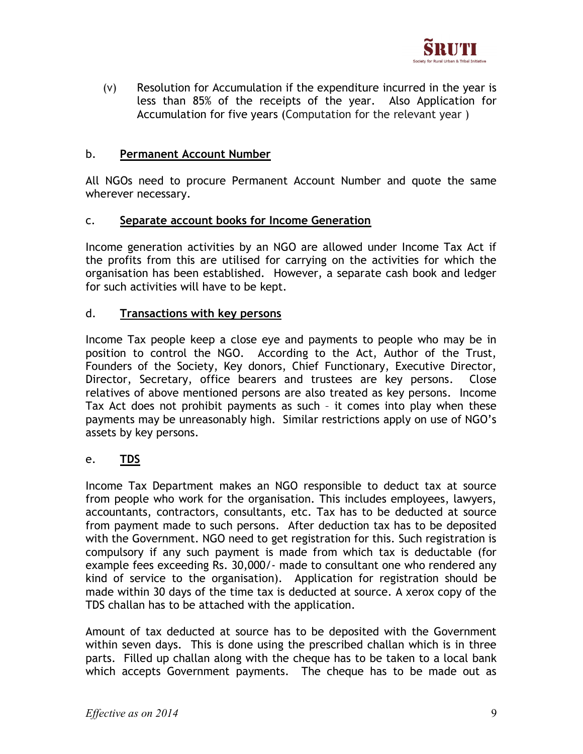

(v) Resolution for Accumulation if the expenditure incurred in the year is less than 85% of the receipts of the year. Also Application for Accumulation for five years (Computation for the relevant year )

#### b. Permanent Account Number

All NGOs need to procure Permanent Account Number and quote the same wherever necessary.

#### c. Separate account books for Income Generation

Income generation activities by an NGO are allowed under Income Tax Act if the profits from this are utilised for carrying on the activities for which the organisation has been established. However, a separate cash book and ledger for such activities will have to be kept.

#### d. Transactions with key persons

Income Tax people keep a close eye and payments to people who may be in position to control the NGO. According to the Act, Author of the Trust, Founders of the Society, Key donors, Chief Functionary, Executive Director, Director, Secretary, office bearers and trustees are key persons. Close relatives of above mentioned persons are also treated as key persons. Income Tax Act does not prohibit payments as such – it comes into play when these payments may be unreasonably high. Similar restrictions apply on use of NGO's assets by key persons.

## e. <u>TDS</u>

Income Tax Department makes an NGO responsible to deduct tax at source from people who work for the organisation. This includes employees, lawyers, accountants, contractors, consultants, etc. Tax has to be deducted at source from payment made to such persons. After deduction tax has to be deposited with the Government. NGO need to get registration for this. Such registration is compulsory if any such payment is made from which tax is deductable (for example fees exceeding Rs. 30,000/- made to consultant one who rendered any kind of service to the organisation). Application for registration should be made within 30 days of the time tax is deducted at source. A xerox copy of the TDS challan has to be attached with the application.

Amount of tax deducted at source has to be deposited with the Government within seven days. This is done using the prescribed challan which is in three parts. Filled up challan along with the cheque has to be taken to a local bank which accepts Government payments. The cheque has to be made out as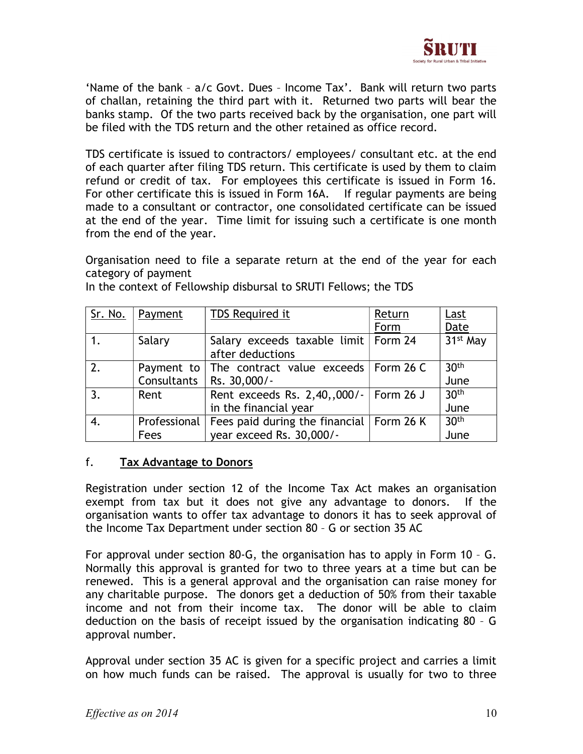

'Name of the bank – a/c Govt. Dues – Income Tax'. Bank will return two parts of challan, retaining the third part with it. Returned two parts will bear the banks stamp. Of the two parts received back by the organisation, one part will be filed with the TDS return and the other retained as office record.

TDS certificate is issued to contractors/ employees/ consultant etc. at the end of each quarter after filing TDS return. This certificate is used by them to claim refund or credit of tax. For employees this certificate is issued in Form 16. For other certificate this is issued in Form 16A. If regular payments are being made to a consultant or contractor, one consolidated certificate can be issued at the end of the year. Time limit for issuing such a certificate is one month from the end of the year.

Organisation need to file a separate return at the end of the year for each category of payment

| Sr. No. | Payment        | TDS Required it                                           | Return | Last                 |
|---------|----------------|-----------------------------------------------------------|--------|----------------------|
|         |                |                                                           | Form   | Date                 |
|         | Salary         | Salary exceeds taxable limit   Form 24                    |        | 31 <sup>st</sup> May |
|         |                | after deductions                                          |        |                      |
| 2.      | Payment to $ $ | The contract value exceeds   Form 26 C                    |        | 30 <sup>th</sup>     |
|         | Consultants    | Rs. 30,000/-                                              |        | June                 |
| 3.      | Rent           | Rent exceeds Rs. 2,40,,000/-   Form 26 J                  |        | 30 <sup>th</sup>     |
|         |                | in the financial year                                     |        | June                 |
| 4.      |                | Professional   Fees paid during the financial   Form 26 K |        | 30 <sup>th</sup>     |
|         | Fees           | year exceed Rs. 30,000/-                                  |        | June                 |

In the context of Fellowship disbursal to SRUTI Fellows; the TDS

## f. Tax Advantage to Donors

Registration under section 12 of the Income Tax Act makes an organisation exempt from tax but it does not give any advantage to donors. If the organisation wants to offer tax advantage to donors it has to seek approval of the Income Tax Department under section 80 – G or section 35 AC

For approval under section 80-G, the organisation has to apply in Form 10 – G. Normally this approval is granted for two to three years at a time but can be renewed. This is a general approval and the organisation can raise money for any charitable purpose. The donors get a deduction of 50% from their taxable income and not from their income tax. The donor will be able to claim deduction on the basis of receipt issued by the organisation indicating 80 – G approval number.

Approval under section 35 AC is given for a specific project and carries a limit on how much funds can be raised. The approval is usually for two to three